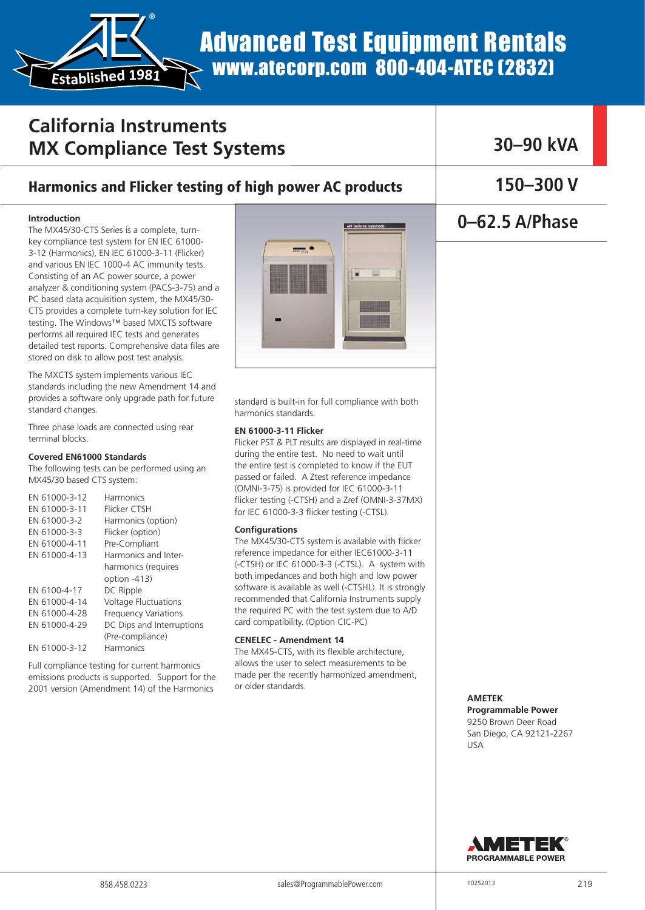Advanced Test Equipment Rentals www.atecorp.com 800-404-ATEC (2832)

## **California Instruments MX Compliance Test Systems**

®

**Established <sup>1</sup>981**

### Harmonics and Flicker testing of high power AC products

#### **Introduction**

The MX45/30-CTS Series is a complete, turnkey compliance test system for EN IEC 61000- 3-12 (Harmonics), EN IEC 61000-3-11 (Flicker) and various EN IEC 1000-4 AC immunity tests. Consisting of an AC power source, a power analyzer & conditioning system (PACS-3-75) and a PC based data acquisition system, the MX45/30- CTS provides a complete turn-key solution for IEC testing. The Windows™ based MXCTS software performs all required IEC tests and generates detailed test reports. Comprehensive data files are stored on disk to allow post test analysis.

The MXCTS system implements various IEC standards including the new Amendment 14 and provides a software only upgrade path for future standard changes.

Three phase loads are connected using rear terminal blocks.

#### **Covered EN61000 Standards**

The following tests can be performed using an MX45/30 based CTS system:

| EN 61000-3-12 | Harmonics                   |
|---------------|-----------------------------|
| EN 61000-3-11 | Flicker CTSH                |
| EN 61000-3-2  | Harmonics (option)          |
| EN 61000-3-3  | Flicker (option)            |
| EN 61000-4-11 | Pre-Compliant               |
| EN 61000-4-13 | Harmonics and Inter-        |
|               | harmonics (requires         |
|               | option -413)                |
| EN 6100-4-17  | DC Ripple                   |
| EN 61000-4-14 | <b>Voltage Fluctuations</b> |
| FN 61000-4-28 | <b>Frequency Variations</b> |
| EN 61000-4-29 | DC Dips and Interruptions   |
|               | (Pre-compliance)            |
| EN 61000-3-12 | Harmonics                   |
|               |                             |

Full compliance testing for current harmonics emissions products is supported. Support for the 2001 version (Amendment 14) of the Harmonics



standard is built-in for full compliance with both harmonics standards.

#### **EN 61000-3-11 Flicker**

Flicker PST & PLT results are displayed in real-time during the entire test. No need to wait until the entire test is completed to know if the EUT passed or failed. A Ztest reference impedance (OMNI-3-75) is provided for IEC 61000-3-11 flicker testing (-CTSH) and a Zref (OMNI-3-37MX) for IEC 61000-3-3 flicker testing (-CTSL).

#### **Configurations**

The MX45/30-CTS system is available with flicker reference impedance for either IEC61000-3-11 (-CTSH) or IEC 61000-3-3 (-CTSL). A system with both impedances and both high and low power software is available as well (-CTSHL). It is strongly recommended that California Instruments supply the required PC with the test system due to A/D card compatibility. (Option CIC-PC)

#### **CENELEC - Amendment 14**

The MX45-CTS, with its flexible architecture, allows the user to select measurements to be made per the recently harmonized amendment, or older standards.

**30–90 kVA**

**150–300 V** 

### **0–62.5 A/Phase**

**AMETEK Programmable Power** 

9250 Brown Deer Road San Diego, CA 92121-2267 USA